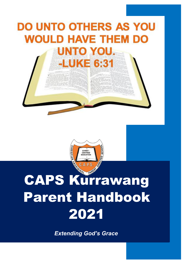# **DO UNTO OTHERS AS YOU WOULD HAVE THEM DO** UNTO YOU. **-LUKE 6:31**



# CAPS Kurrawang Parent Handbook 2021

 *Extending God's Grace*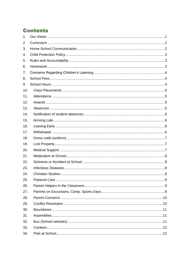# **Contents**

| 1.  |  |
|-----|--|
| 2.  |  |
| 3.  |  |
| 4.  |  |
| 5.  |  |
| 6.  |  |
| 7.  |  |
| 8.  |  |
| 9.  |  |
| 10. |  |
| 11. |  |
| 12. |  |
| 13. |  |
| 14. |  |
| 15. |  |
| 16. |  |
| 17. |  |
| 18. |  |
| 19. |  |
| 20. |  |
| 21. |  |
| 22. |  |
| 23. |  |
| 24. |  |
| 25. |  |
| 26. |  |
| 27. |  |
| 28. |  |
| 29. |  |
| 30. |  |
| 31. |  |
| 32. |  |
| 33. |  |
| 34. |  |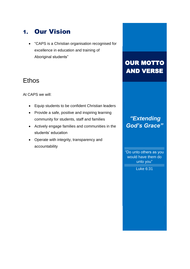# <span id="page-2-0"></span>1. Our Vision

• "CAPS is a Christian organisation recognised for excellence in education and training of Aboriginal students"

# **Ethos**

At CAPS we will:

- Equip students to be confident Christian leaders
- Provide a safe, positive and inspiring learning community for students, staff and families
- Actively engage families and communities in the students' education
- Operate with integrity, transparency and accountability

# OUR MOTTO AND VERSE

# God's Grace" *"Extending*

"Do unto others as you would have them do unto you"

Luke 6:31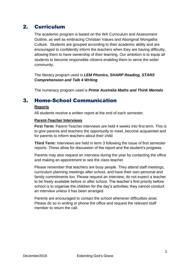## <span id="page-3-0"></span>2. Curriculum

The academic program is based on the WA Curriculum and Assessment Outline, as well as embracing Christian Values and Aboriginal Wongatha Culture. Students are grouped according to their academic ability and are encouraged to confidently inform the teachers when they are having difficulty, allowing them to have ownership of their learning. Our ambition is to equip all students to become responsible citizens enabling them to serve the wider community.

The literacy program used is *LEM Phonics, SHARP Reading, STARS Comprehension and Talk 4 Writing*

The numeracy program used is *Prime Australia Maths and Think Mentals*

### <span id="page-3-1"></span>3. Home-School Communication

#### **Reports**

All students receive a written report at the end of each semester.

#### **Parent-Teacher Interviews**

**First Term:** Parent-Teacher interviews are held 4 weeks into first term. This is to give parents and teachers the opportunity to meet, become acquainted and for parents to inform teachers about their child

**Third Term:** Interviews are held in term 3 following the issue of first semester reports. These allow for discussion of the report and the student's progress.

Parents may also request an interview during the year by contacting the office and making an appointment to see the class teacher.

Please remember that teachers are busy people. They attend staff meetings, curriculum planning meetings after school, and have their own personal and family commitments too. Please request an interview; do not expect a teacher to be freely available before or after school. The teacher's first priority before school is to organise the children for the day's activities; they cannot conduct an interview unless it has been arranged.

Parents are encouraged to contact the school whenever difficulties arise. Please do so in writing or phone the office and request the relevant staff member to return the call.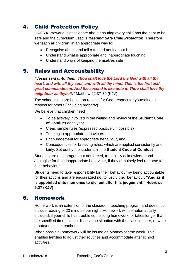# <span id="page-4-0"></span>4. Child Protection Policy

CAPS Kurrawang is passionate about ensuring every child has the right to be safe and the curriculum used is *Keeping Safe Child Protection*, Therefore we teach all children, in an appropriate way to:

- Recognise abuse and tell a trusted adult about it
- Understand what is appropriate and inappropriate touching
- Understand ways of keeping themselves safe

#### <span id="page-4-1"></span>5. Rules and Accountability

*"Jesus said unto them, Thou shalt love the Lord thy God with all thy heart, and with all thy soul, and with all thy mind. This is the first and great commandment. And the second is like unto it. Thou shalt love thy neighbour as thyself."* Matthew 22:37-39 (KJV)

The school rules are based on respect for God, respect for yourself and respect for others (including property).

We believe that children need

- To be actively involved in the writing and review of the **Student Code of Conduct** each year
- Clear, simple rules (expressed positively if possible)
- Training in appropriate behaviours
- Encouragement for appropriate behaviour, and
- Consequences for breaking rules, which are applied consistently and fairly. Set out by the students in the **Student Code of Conduct**

Students are encouraged, but not forced, to publicly acknowledge and apologise for their inappropriate behaviour, if they genuinely feel remorse for their behaviour.

Students need to take responsibility for their behaviour by being accountable for their actions and are encouraged not to justify their behaviour. **"And as it is appointed unto men once to die, but after this judgement:" Hebrews 9:27 (KJV)**

#### <span id="page-4-2"></span>6. Homework

Home work is an extension of the classroom teaching program and does not include reading of 20 minutes per night. Homework will be automatically included, if your child has trouble completing homework, or takes longer than the specified time, please discuss the situation with the class teacher, or write a note/email the teacher.

When possible, homework will be issued on Monday for the week. This enables families to adjust their routines and accommodate after school activities.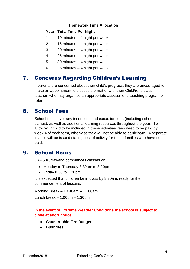#### **Homework Time Allocation**

#### **Year Total Time Per Night**

- 1 10 minutes 4 night per week
- 2 15 minutes 4 night per week
- 3 20 minutes 4 night per week
- 4 25 minutes 4 night per week
- 5 30 minutes 4 night per week
- 6 35 minutes 4 night per week

#### <span id="page-5-0"></span>7. Concerns Regarding Children's Learning

If parents are concerned about their child's progress, they are encouraged to make an appointment to discuss the matter with their Child/rens class teacher, who may organise an appropriate assessment, teaching program or referral.

#### <span id="page-5-1"></span>8. School Fees

School fees cover any incursions and excursion fees (including school camps), as well as additional learning resources throughout the year. To allow your child to be included in these activities' fees need to be paid by week 4 of each term, otherwise they will not be able to participate. A separate invoice will be issued stating cost of activity for those families who have not paid.

#### <span id="page-5-2"></span>9. School Hours

CAPS Kurrawang commences classes on;

- Monday to Thursday 8.30am to 3.20pm
- Friday 8.30 to 1.20pm

It is expected that children be in class by 8.30am, ready for the commencement of lessons.

Morning Break – 10.40am – 11.00am

Lunch break – 1.00pm – 1.30pm

#### **In the event of Extreme Weather Conditions the school is subject to close at short notice.**

- **Catastrophic Fire Danger**
- **Bushfires**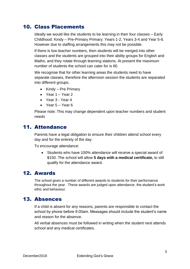## <span id="page-6-0"></span>10. Class Placements

Ideally we would like the students to be learning in their four classes – Early Childhood: Kindy – Pre-Primary Primary: Years 1-2, Years 3-4 and Year 5-6. However due to staffing arrangements this may not be possible.

If there is low teacher numbers, then students will be merged into other classes and the students are grouped into their ability groups for English and Maths, and they rotate through learning stations. At present the maximum number of students the school can cater for is 60.

We recognise that for other learning areas the students need to have separate classes, therefore the afternoon session the students are separated into different groups.

- Kindy Pre Primary
- Year 1 Year 2
- Year 3 Year 4
- Year 5 Year 6

Please note: This may change dependent upon teacher numbers and student needs

#### <span id="page-6-1"></span>11. Attendance

Parents have a legal obligation to ensure their children attend school every day and for the entirety of the day.

To encourage attendance:

• Students who have 100% attendance will receive a special award of \$150. The school will allow **5 days with a medical certificate,** to still qualify for the attendance award.

#### <span id="page-6-2"></span>12. Awards

The school gives a number of different awards to students for their performance throughout the year. These awards are judged upon attendance, the student's work ethic and behaviour.

#### <span id="page-6-3"></span>13. Absences

If a child is absent for any reasons, parents are responsible to contact the school by phone before 9.00am. Messages should include the student's name and reason for the absence.

All verbal absences must be followed in writing when the student next attends school and any medical certificates.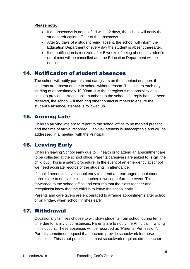#### **Please note:**

- If an absence/s is not notified within 2 days, the school will notify the student education officer of the absence/s.
- After 20 days of a student being absent, the school will inform the Education Department of every day the student is absent thereafter.
- If no notification is received after 5 weeks of being absent a student's enrolment will be cancelled and the Education Department will be notified

#### <span id="page-7-0"></span>14. Notification of student absences

The school will notify parents and caregivers on their contact numbers if students are absent or late to school without reason. This occurs each day starting at approximately 10.00am. It is the caregiver's responsibility at all times to provide correct mobile numbers to the school. If a reply has not been received, the school will then ring other contact numbers to ensure the student's absence/lateness is followed up.

#### <span id="page-7-1"></span>15. Arriving Late

Children arriving late are to report to the school office to be marked present and the time of arrival recorded. Habitual lateness is unacceptable and will be addressed in a meeting with the Principal.

### <span id="page-7-2"></span>16. Leaving Early

Children leaving School early due to ill health or to attend an appointment are to be collected at the school office. Parents/caregivers are asked to **'sign'** the child out. This is a safety procedure. In the event of an emergency at school we need accurate records of the students in attendance.

If a child needs to leave school early to attend a prearranged appointment, parents are to notify the class teacher in writing before the event. This is forwarded to the school office and ensures that the class teacher and receptionist know that the child is to leave the school early.

Parents and care givers are encouraged to arrange appointments after school or on Friday, when school finishes early.

#### <span id="page-7-3"></span>17. Withdrawal

Occasionally families choose to withdraw students from school during term time due to family circumstances. Parents are to notify the Principal in writing if this occurs. These absences will be recorded as "Parental Permission". Parents sometimes request that teachers provide schoolwork for these occasions. This is not practical, as most schoolwork requires direct teacher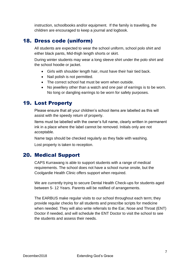instruction, schoolbooks and/or equipment. If the family is travelling, the children are encouraged to keep a journal and logbook.

#### <span id="page-8-0"></span>18. Dress code (uniform)

All students are expected to wear the school uniform, school polo shirt and either black pants, Mid-thigh length shorts or skirt.

During winter students may wear a long sleeve shirt under the polo shirt and the school hoodie or jacket.

- Girls with shoulder length hair, must have their hair tied back.
- Nail polish is not permitted.
- The correct school hat must be worn when outside.
- No jewellery other than a watch and one pair of earrings is to be worn. No long or dangling earrings to be worn for safety purposes.

#### <span id="page-8-1"></span>19. Lost Property

Please ensure that all your children's school items are labelled as this will assist with the speedy return of property.

Items must be labelled with the owner's full name, clearly written in permanent ink in a place where the label cannot be removed. Initials only are not acceptable.

Name tags should be checked regularly as they fade with washing.

Lost property is taken to reception.

#### <span id="page-8-2"></span>20. Medical Support

CAPS Kurrawang is able to support students with a range of medical requirements. The school does not have a school nurse onsite, but the Coolgardie Health Clinic offers support when required.

We are currently trying to secure Dental Health Check-ups for students aged between 5- 12 Years. Parents will be notified of arrangements.

The EARBUS make regular visits to our school throughout each term; they provide regular checks for all students and prescribe scripts for medicine when needed. They will also write referrals to the Ear, Nose and Throat (ENT) Doctor if needed, and will schedule the ENT Doctor to visit the school to see the students and assess their needs.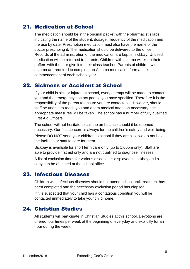#### <span id="page-9-0"></span>21. Medication at School

The medication should be in the original packet with the pharmacist's label indicating the name of the student, dosage, frequency of the medication and the use by date. Prescription medication must also have the name of the doctor prescribing it. The medication should be delivered to the office. Records of the administration of the medication are kept in sickbay. Unused medication will be returned to parents. Children with asthma will keep their puffers with them or give it to their class teacher. Parents of children with asthma are required to complete an Asthma medication form at the commencement of each school year.

#### <span id="page-9-1"></span>22. Sickness or Accident at School

If your child is sick or injured at school, every attempt will be made to contact you and the emergency contact people you have specified. Therefore it is the responsibility of the parent to ensure you are contactable. However, should staff be unable to reach you and deem medical attention necessary, the appropriate measures will be taken. The school has a number of fully qualified First Aid Officers.

The school will not hesitate to call the ambulance should it be deemed necessary. Our first concern is always for the children's safety and well-being.

Please DO NOT send your children to school if they are sick, we do not have the facilities or staff to care for them.

Sickbay is available for short term care only (up to 1.00pm only). Staff are able to provide first aid only and are not qualified to diagnose illnesses.

A list of exclusion times for various diseases is displayed in sickbay and a copy can be obtained at the school office.

#### <span id="page-9-2"></span>23. Infectious Diseases

Children with infectious diseases should not attend school until treatment has been completed and the necessary exclusion period has elapsed.

If it is suspected that your child has a contagious condition you will be contacted immediately to take your child home.

#### <span id="page-9-3"></span>24. Christian Studies

All students will participate in Christian Studies at this school. Devotions are offered four times per week at the beginning of everyday and explicitly for an hour during the week.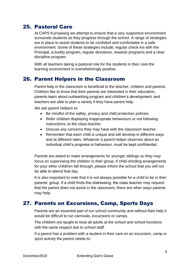# <span id="page-10-0"></span>25. Pastoral Care

At CAPS Kurrawang we attempt to ensure that a very supportive environment surrounds students as they progress through the school. A range of strategies are in place to assist students to be confident and comfortable in a safe environment. Some of these strategies include; regular check-ins with the Principal, a buddy program, regular devotions, rewards programs and a clear discipline program.

With all teachers taking a pastoral role for the students in their care the learning environment is overwhelmingly positive.

#### <span id="page-10-1"></span>26. Parent Helpers in the Classroom

Parent help in the classroom is beneficial to the teacher, children and parents. Children like to know that their parents are interested in their education, parents learn about outreaching program and children's development, and teachers are able to plan a variety if they have parent help.

We ask parent helpers to:

- Be mindful of the safety, privacy and child protection policies.
- Refer children displaying inappropriate behaviours or not following instructions, to the class teacher.
- Discuss any concerns they may have with the classroom teacher.
- Remember that each child is unique and will develop in different ways and at different rates. Whatever a parent helper observes about an individual child's progress or behaviour, must be kept confidential.

Parents are asked to make arrangements for younger siblings so they may focus on supervising the children in their group. If child-minding arrangements for your other child/ren fall through, please inform the school that you will not be able to attend that day.

It is also important to note that it is not always possible for a child to be in their parents' group. If a child finds this distressing, the class teacher may request that the parent does not assist in the classroom; there are other ways parents may help.

#### <span id="page-10-2"></span>27. Parents on Excursions, Camp, Sports Days

Parents are an essential part of our school community and without their help it would be difficult to run carnivals, excursions or camps.

The children are taught to treat all adults at the school and school functions with the same respect due to school staff.

If a parent has a problem with a student in their care on an excursion, camp or sport activity the parent needs to: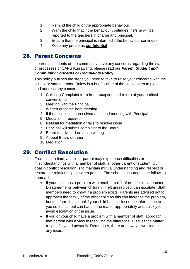- 1 Remind the child of the appropriate behaviour.
- 2 Warn the child that if the behaviour continues, he/she will be reported to the teachers in charge and principal.
- 3 Ensure that the principal is informed if the behaviour continues.
- 4 Keep any problems **confidential**.

#### <span id="page-11-0"></span>28. Parent Concerns

If parents, students or the community have any concerns regarding the staff or processes of CAPS Kurrawang, please read our *Parent, Student and Community Concerns or Complaints* **Policy**.

This policy outlines the steps you need to take to raise your concerns with the school or staff member. Below is a brief outline of the steps taken to place and address any concerns

- 1. Collect a Complaint form from reception and return at your earliest convenience
- 2. Meeting with the Principal
- 3. Written outcome from meeting
- 4. If the decision is unresolved a second meeting with Principal
- 5. Mediation if required
- 6. Refusal for mediation or fails to resolve issue
- 7. Principal will submit complaint to the Board
- 8. Board to advise decision in writing
- 9. Appeal Board decision
- 10.Mediation

#### <span id="page-11-1"></span>29. Conflict Resolution

From time to time, a child or parent may experience difficulties or misunderstandings with a member of staff, another parent or student. Our goal in conflict resolution is to maintain mutual understanding and respect or restore the relationship between parties. The school encourages the following approach:

- If your child has a problem with another child inform the class teacher. Disagreements between children, if left unresolved, can escalate. Staff members need to know if a problem exists. Parents are advised not to approach the family of the other child as this can increase the problem, but to inform the school if your child has disclosed the information to you so the school can handle the matter appropriately and quickly to avoid escalation of the issue.
- If you or your child have a problem with a member of staff, approach that person with a view to resolving the difference. Discuss the matter respectfully and privately. Remember, there are always two sides to any issue.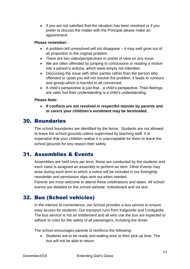• If you are not satisfied that the situation has been resolved or if you prefer to discuss the matter with the Principal please make an appointment.

#### **Please remember:**

- A problem left unresolved will not disappear it may well grow out of all proportion to the original problem.
- There are two sides/perspectives or points of view on any issue.
- We are often offended by jumping to conclusions or reading a motive into a person's actions, which were simply not intended.
- Discussing the issue with other parties rather than the person who offended or upset you will not resolve the problem, it leads to rumours and gossip which is harmful to all concerned.
- A child's perspective is just that…a child's perspective. Their feelings are valid, but their understanding is a child's understanding.

#### **Please Note:**

• **If conflicts are not resolved in respectful manner by parents and or carers your child/ren's enrolment may be terminated.**

#### <span id="page-12-0"></span>30. Boundaries

The school boundaries are identified by the fence. Students are not allowed to leave the school grounds unless supervised by teaching staff. It is imperative that your children realise it is unacceptable for them to leave the school grounds for any reason their safety.

#### <span id="page-12-1"></span>31. Assemblies & Events

Assemblies are held once per term, these are conducted by the students and each class is assigned an assembly to perform an item. Other Events may arise during each term to which a notice will be included in our fortnightly newsletter and permission slips sent out when needed.

Parents are most welcome to attend these celebrations and dates. All school events are detailed on the school website, noticeboard and via text.

#### <span id="page-12-2"></span>32. Bus (School vehicles)

In the interest of convenience, our School provides a bus service to ensure easy access for students. Our transport runs from Kalgoorlie and Coolgardie. The bus service is not an entitlement and all who use the bus are expected to adhere to rules for the safety of all passengers, including the driver.

The school encourages parents to reinforce the following;

• Students are to be ready and waiting prior to their pick up time. The bus will not be able to return.